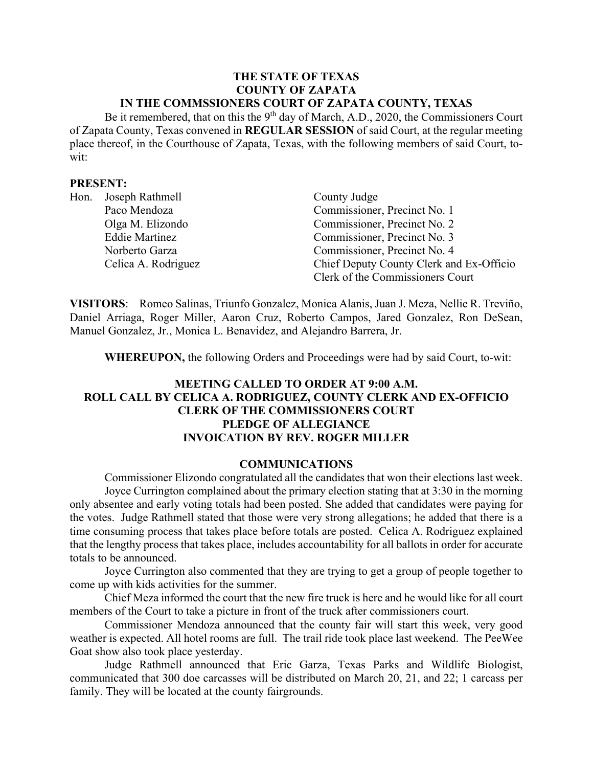#### **THE STATE OF TEXAS COUNTY OF ZAPATA IN THE COMMSSIONERS COURT OF ZAPATA COUNTY, TEXAS**

Be it remembered, that on this the  $9<sup>th</sup>$  day of March, A.D., 2020, the Commissioners Court of Zapata County, Texas convened in **REGULAR SESSION** of said Court, at the regular meeting place thereof, in the Courthouse of Zapata, Texas, with the following members of said Court, towit:

#### **PRESENT:**

| Hon. | Joseph Rathmell       | County Judge                             |
|------|-----------------------|------------------------------------------|
|      | Paco Mendoza          | Commissioner, Precinct No. 1             |
|      | Olga M. Elizondo      | Commissioner, Precinct No. 2             |
|      | <b>Eddie Martinez</b> | Commissioner, Precinct No. 3             |
|      | Norberto Garza        | Commissioner, Precinct No. 4             |
|      | Celica A. Rodriguez   | Chief Deputy County Clerk and Ex-Officio |
|      |                       | Clerk of the Commissioners Court         |

**VISITORS**: Romeo Salinas, Triunfo Gonzalez, Monica Alanis, Juan J. Meza, Nellie R. Treviño, Daniel Arriaga, Roger Miller, Aaron Cruz, Roberto Campos, Jared Gonzalez, Ron DeSean, Manuel Gonzalez, Jr., Monica L. Benavidez, and Alejandro Barrera, Jr.

**WHEREUPON,** the following Orders and Proceedings were had by said Court, to-wit:

# **MEETING CALLED TO ORDER AT 9:00 A.M. ROLL CALL BY CELICA A. RODRIGUEZ, COUNTY CLERK AND EX-OFFICIO CLERK OF THE COMMISSIONERS COURT PLEDGE OF ALLEGIANCE INVOICATION BY REV. ROGER MILLER**

### **COMMUNICATIONS**

Commissioner Elizondo congratulated all the candidates that won their elections last week. Joyce Currington complained about the primary election stating that at 3:30 in the morning only absentee and early voting totals had been posted. She added that candidates were paying for the votes. Judge Rathmell stated that those were very strong allegations; he added that there is a time consuming process that takes place before totals are posted. Celica A. Rodriguez explained that the lengthy process that takes place, includes accountability for all ballots in order for accurate totals to be announced.

Joyce Currington also commented that they are trying to get a group of people together to come up with kids activities for the summer.

Chief Meza informed the court that the new fire truck is here and he would like for all court members of the Court to take a picture in front of the truck after commissioners court.

Commissioner Mendoza announced that the county fair will start this week, very good weather is expected. All hotel rooms are full. The trail ride took place last weekend. The PeeWee Goat show also took place yesterday.

Judge Rathmell announced that Eric Garza, Texas Parks and Wildlife Biologist, communicated that 300 doe carcasses will be distributed on March 20, 21, and 22; 1 carcass per family. They will be located at the county fairgrounds.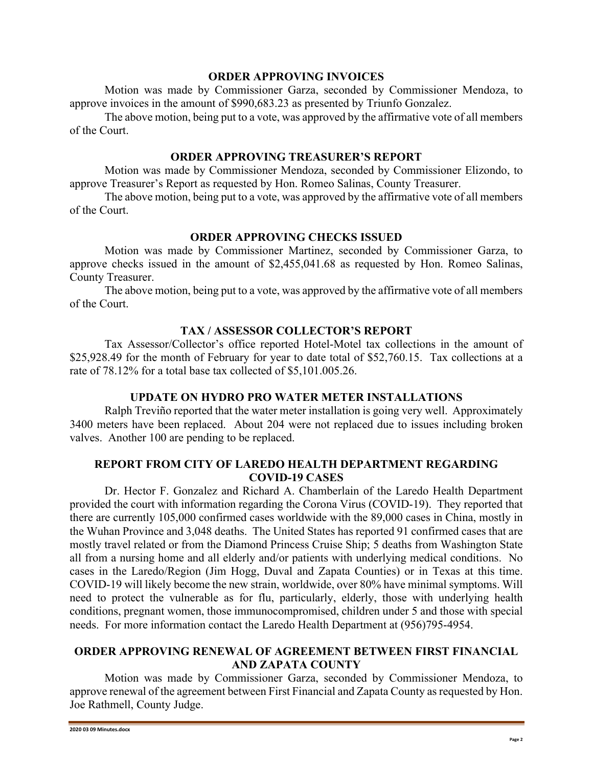#### **ORDER APPROVING INVOICES**

Motion was made by Commissioner Garza, seconded by Commissioner Mendoza, to approve invoices in the amount of \$990,683.23 as presented by Triunfo Gonzalez.

The above motion, being put to a vote, was approved by the affirmative vote of all members of the Court.

### **ORDER APPROVING TREASURER'S REPORT**

Motion was made by Commissioner Mendoza, seconded by Commissioner Elizondo, to approve Treasurer's Report as requested by Hon. Romeo Salinas, County Treasurer.

The above motion, being put to a vote, was approved by the affirmative vote of all members of the Court.

# **ORDER APPROVING CHECKS ISSUED**

Motion was made by Commissioner Martinez, seconded by Commissioner Garza, to approve checks issued in the amount of \$2,455,041.68 as requested by Hon. Romeo Salinas, County Treasurer.

The above motion, being put to a vote, was approved by the affirmative vote of all members of the Court.

## **TAX / ASSESSOR COLLECTOR'S REPORT**

Tax Assessor/Collector's office reported Hotel-Motel tax collections in the amount of \$25,928.49 for the month of February for year to date total of \$52,760.15. Tax collections at a rate of 78.12% for a total base tax collected of \$5,101.005.26.

#### **UPDATE ON HYDRO PRO WATER METER INSTALLATIONS**

Ralph Treviño reported that the water meter installation is going very well. Approximately 3400 meters have been replaced. About 204 were not replaced due to issues including broken valves. Another 100 are pending to be replaced.

# **REPORT FROM CITY OF LAREDO HEALTH DEPARTMENT REGARDING COVID-19 CASES**

Dr. Hector F. Gonzalez and Richard A. Chamberlain of the Laredo Health Department provided the court with information regarding the Corona Virus (COVID-19). They reported that there are currently 105,000 confirmed cases worldwide with the 89,000 cases in China, mostly in the Wuhan Province and 3,048 deaths. The United States has reported 91 confirmed cases that are mostly travel related or from the Diamond Princess Cruise Ship; 5 deaths from Washington State all from a nursing home and all elderly and/or patients with underlying medical conditions. No cases in the Laredo/Region (Jim Hogg, Duval and Zapata Counties) or in Texas at this time. COVID-19 will likely become the new strain, worldwide, over 80% have minimal symptoms. Will need to protect the vulnerable as for flu, particularly, elderly, those with underlying health conditions, pregnant women, those immunocompromised, children under 5 and those with special needs. For more information contact the Laredo Health Department at (956)795-4954.

## **ORDER APPROVING RENEWAL OF AGREEMENT BETWEEN FIRST FINANCIAL AND ZAPATA COUNTY**

Motion was made by Commissioner Garza, seconded by Commissioner Mendoza, to approve renewal of the agreement between First Financial and Zapata County as requested by Hon. Joe Rathmell, County Judge.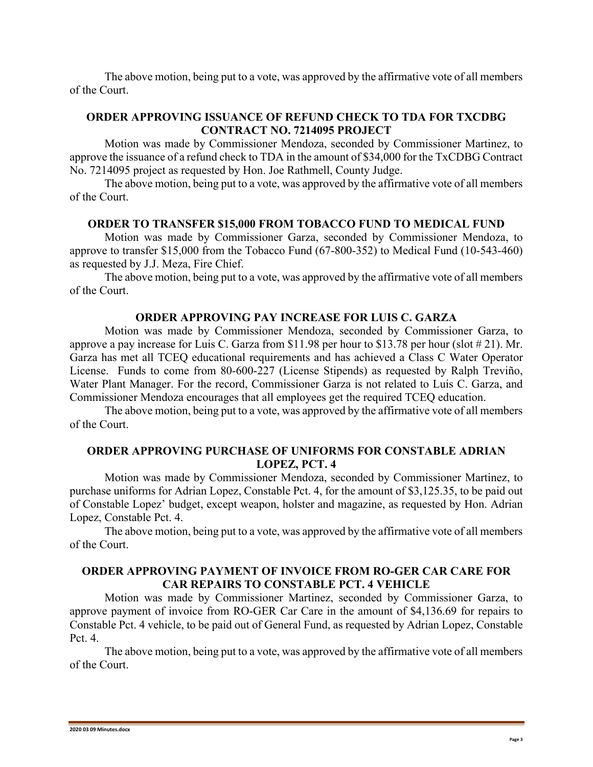The above motion, being put to a vote, was approved by the affirmative vote of all members of the Court.

# **ORDER APPROVING ISSUANCE OF REFUND CHECK TO TDA FOR TXCDBG CONTRACT NO. 7214095 PROJECT**

Motion was made by Commissioner Mendoza, seconded by Commissioner Martinez, to approve the issuance of a refund check to TDA in the amount of \$34,000 for the TxCDBG Contract No. 7214095 project as requested by Hon. Joe Rathmell, County Judge.

The above motion, being put to a vote, was approved by the affirmative vote of all members of the Court.

#### **ORDER TO TRANSFER \$15,000 FROM TOBACCO FUND TO MEDICAL FUND**

Motion was made by Commissioner Garza, seconded by Commissioner Mendoza, to approve to transfer \$15,000 from the Tobacco Fund (67-800-352) to Medical Fund (10-543-460) as requested by J.J. Meza, Fire Chief.

The above motion, being put to a vote, was approved by the affirmative vote of all members of the Court.

#### **ORDER APPROVING PAY INCREASE FOR LUIS C. GARZA**

Motion was made by Commissioner Mendoza, seconded by Commissioner Garza, to approve a pay increase for Luis C. Garza from \$11.98 per hour to \$13.78 per hour (slot # 21). Mr. Garza has met all TCEQ educational requirements and has achieved a Class C Water Operator License. Funds to come from 80-600-227 (License Stipends) as requested by Ralph Treviño, Water Plant Manager. For the record, Commissioner Garza is not related to Luis C. Garza, and Commissioner Mendoza encourages that all employees get the required TCEQ education.

The above motion, being put to a vote, was approved by the affirmative vote of all members of the Court.

## **ORDER APPROVING PURCHASE OF UNIFORMS FOR CONSTABLE ADRIAN LOPEZ, PCT. 4**

Motion was made by Commissioner Mendoza, seconded by Commissioner Martinez, to purchase uniforms for Adrian Lopez, Constable Pct. 4, for the amount of \$3,125.35, to be paid out of Constable Lopez' budget, except weapon, holster and magazine, as requested by Hon. Adrian Lopez, Constable Pct. 4.

The above motion, being put to a vote, was approved by the affirmative vote of all members of the Court.

## **ORDER APPROVING PAYMENT OF INVOICE FROM RO-GER CAR CARE FOR CAR REPAIRS TO CONSTABLE PCT. 4 VEHICLE**

Motion was made by Commissioner Martinez, seconded by Commissioner Garza, to approve payment of invoice from RO-GER Car Care in the amount of \$4,136.69 for repairs to Constable Pct. 4 vehicle, to be paid out of General Fund, as requested by Adrian Lopez, Constable Pct. 4.

The above motion, being put to a vote, was approved by the affirmative vote of all members of the Court.